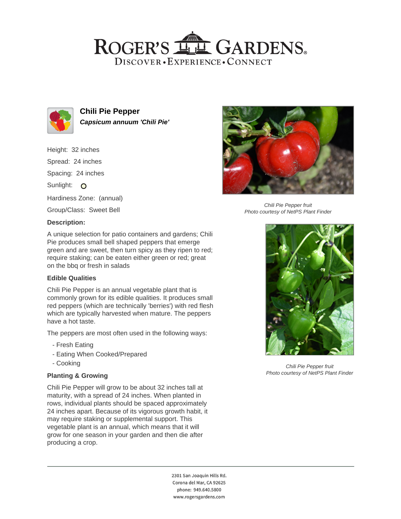## ROGER'S LL GARDENS. DISCOVER · EXPERIENCE · CONNECT



**Chili Pie Pepper Capsicum annuum 'Chili Pie'**

Height: 32 inches Spread: 24 inches Spacing: 24 inches Sunlight: O Hardiness Zone: (annual) Group/Class: Sweet Bell **Description:**



Chili Pie Pepper fruit Photo courtesy of NetPS Plant Finder

A unique selection for patio containers and gardens; Chili Pie produces small bell shaped peppers that emerge green and are sweet, then turn spicy as they ripen to red; require staking; can be eaten either green or red; great on the bbq or fresh in salads

## **Edible Qualities**

Chili Pie Pepper is an annual vegetable plant that is commonly grown for its edible qualities. It produces small red peppers (which are technically 'berries') with red flesh which are typically harvested when mature. The peppers have a hot taste.

The peppers are most often used in the following ways:

- Fresh Eating
- Eating When Cooked/Prepared
- Cooking

## **Planting & Growing**

Chili Pie Pepper will grow to be about 32 inches tall at maturity, with a spread of 24 inches. When planted in rows, individual plants should be spaced approximately 24 inches apart. Because of its vigorous growth habit, it may require staking or supplemental support. This vegetable plant is an annual, which means that it will grow for one season in your garden and then die after producing a crop.



Chili Pie Pepper fruit Photo courtesy of NetPS Plant Finder

2301 San Joaquin Hills Rd. Corona del Mar, CA 92625 phone: 949.640.5800 www.rogersgardens.com